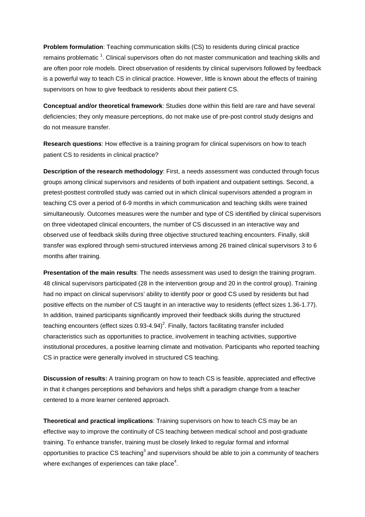**Problem formulation**: Teaching communication skills (CS) to residents during clinical practice remains problematic<sup>1</sup>. Clinical supervisors often do not master communication and teaching skills and are often poor role models. Direct observation of residents by clinical supervisors followed by feedback is a powerful way to teach CS in clinical practice. However, little is known about the effects of training supervisors on how to give feedback to residents about their patient CS.

**Conceptual and/or theoretical framework**: Studies done within this field are rare and have several deficiencies; they only measure perceptions, do not make use of pre-post control study designs and do not measure transfer.

**Research questions**: How effective is a training program for clinical supervisors on how to teach patient CS to residents in clinical practice?

**Description of the research methodology**: First, a needs assessment was conducted through focus groups among clinical supervisors and residents of both inpatient and outpatient settings. Second, a pretest-posttest controlled study was carried out in which clinical supervisors attended a program in teaching CS over a period of 6-9 months in which communication and teaching skills were trained simultaneously. Outcomes measures were the number and type of CS identified by clinical supervisors on three videotaped clinical encounters, the number of CS discussed in an interactive way and observed use of feedback skills during three objective structured teaching encounters. Finally, skill transfer was explored through semi-structured interviews among 26 trained clinical supervisors 3 to 6 months after training.

**Presentation of the main results**: The needs assessment was used to design the training program. 48 clinical supervisors participated (28 in the intervention group and 20 in the control group). Training had no impact on clinical supervisors' ability to identify poor or good CS used by residents but had positive effects on the number of CS taught in an interactive way to residents (effect sizes 1.36-1.77). In addition, trained participants significantly improved their feedback skills during the structured teaching encounters (effect sizes 0.93-4.94)<sup>2</sup>. Finally, factors facilitating transfer included characteristics such as opportunities to practice, involvement in teaching activities, supportive institutional procedures, a positive learning climate and motivation. Participants who reported teaching CS in practice were generally involved in structured CS teaching.

**Discussion of results:** A training program on how to teach CS is feasible, appreciated and effective in that it changes perceptions and behaviors and helps shift a paradigm change from a teacher centered to a more learner centered approach.

**Theoretical and practical implications**: Training supervisors on how to teach CS may be an effective way to improve the continuity of CS teaching between medical school and post-graduate training. To enhance transfer, training must be closely linked to regular formal and informal opportunities to practice CS teaching<sup>3</sup> and supervisors should be able to join a community of teachers where exchanges of experiences can take place $\rm ^4.$